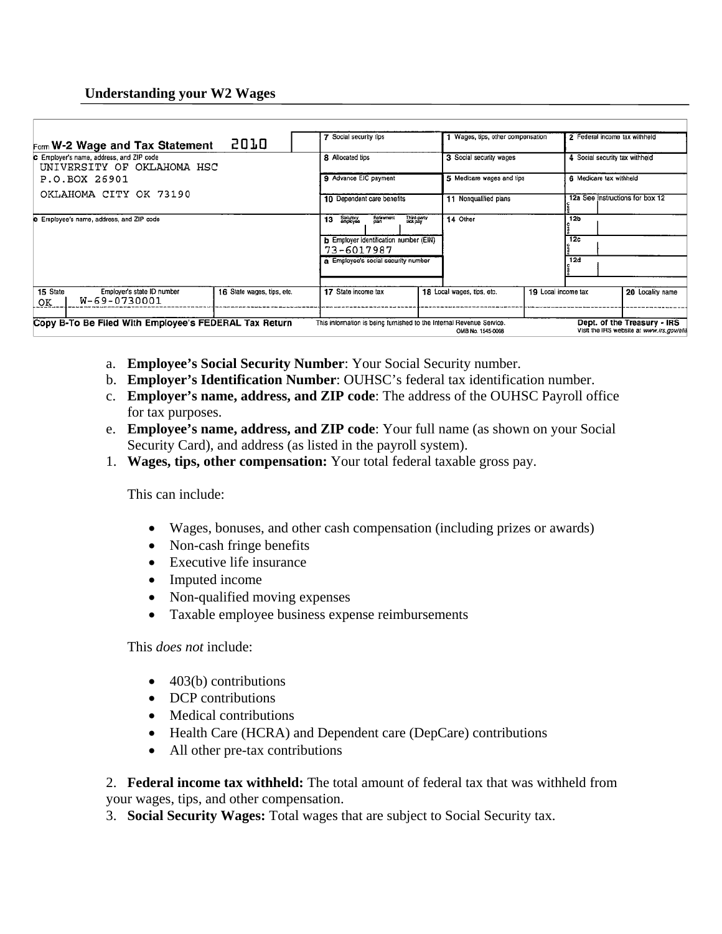## **Understanding your W2 Wages**

| Form W-2 Wage and Tax Statement                                        | 5070                                                                                                                                                                                                                               | 7 Social security tips                                               |                                                                | 1 Wages, tips, other compensation |                                                                                 | 2 Federal income tax withheld |                                                                           |
|------------------------------------------------------------------------|------------------------------------------------------------------------------------------------------------------------------------------------------------------------------------------------------------------------------------|----------------------------------------------------------------------|----------------------------------------------------------------|-----------------------------------|---------------------------------------------------------------------------------|-------------------------------|---------------------------------------------------------------------------|
| C Employer's name, address, and ZIP code<br>UNIVERSITY OF OKLAHOMA HSC | 8 Allocated tips                                                                                                                                                                                                                   |                                                                      | 3 Social security wages                                        | 4 Social security tax withheld    |                                                                                 |                               |                                                                           |
| P.O.BOX 26901                                                          | 9 Advance EIC payment<br>10 Dependent care benefits<br>Retirement<br>plan<br>Third-party<br>sick pay<br>Stalutory<br>employee<br>13<br>b Employer identification number (EIN)<br>73-6017987<br>a Employee's social security number |                                                                      | 5 Medicare wages and tips<br>11 Nonqualified plans<br>14 Other |                                   | 6 Medicare tax withheld<br>12a See instructions for box 12<br>12b<br>12c<br>12d |                               |                                                                           |
| OKLAHOMA CITY OK 73190                                                 |                                                                                                                                                                                                                                    |                                                                      |                                                                |                                   |                                                                                 |                               |                                                                           |
| e Employee's name, address, and ZIP code                               |                                                                                                                                                                                                                                    |                                                                      |                                                                |                                   |                                                                                 |                               |                                                                           |
| 15 State<br>Employer's state ID number<br>W-69-0730001<br>ΟК           | 16 State wages, tips, etc.                                                                                                                                                                                                         | 17 State income tax                                                  |                                                                | 18 Local wages, tips, etc.        | 19 Local income tax                                                             |                               | 20 Locality name                                                          |
| Copy B-To Be Filed With Employee's FEDERAL Tax Return                  |                                                                                                                                                                                                                                    | This information is being furnished to the Internal Revenue Service. |                                                                | OMB No. 1545-0008                 |                                                                                 |                               | Dept. of the Treasury - IRS<br>Visit the IRS website at www.irs.gov/elile |

- a. **Employee's Social Security Number**: Your Social Security number.
- b. **Employer's Identification Number**: OUHSC's federal tax identification number.
- c. **Employer's name, address, and ZIP code**: The address of the OUHSC Payroll office for tax purposes.
- e. **Employee's name, address, and ZIP code**: Your full name (as shown on your Social Security Card), and address (as listed in the payroll system).
- 1. **Wages, tips, other compensation:** Your total federal taxable gross pay.

This can include:

- Wages, bonuses, and other cash compensation (including prizes or awards)
- Non-cash fringe benefits
- Executive life insurance
- Imputed income
- Non-qualified moving expenses
- Taxable employee business expense reimbursements

This *does not* include:

- $\bullet$  403(b) contributions
- DCP contributions
- Medical contributions
- Health Care (HCRA) and Dependent care (DepCare) contributions
- All other pre-tax contributions

2. **Federal income tax withheld:** The total amount of federal tax that was withheld from your wages, tips, and other compensation.

3. **Social Security Wages:** Total wages that are subject to Social Security tax.